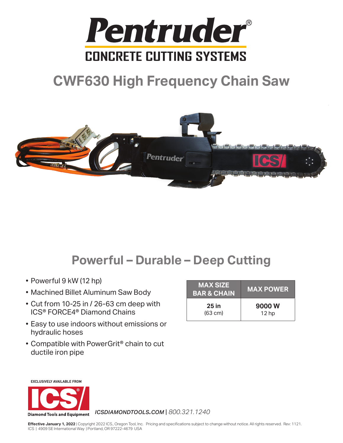

# **CWF630 High Frequency Chain Saw**



## **Powerful – Durable – Deep Cutting**

- Powerful 9 kW (12 hp)
- Machined Billet Aluminum Saw Body
- Cut from 10-25 in / 26-63 cm deep with ICS® FORCE4® Diamond Chains
- Easy to use indoors without emissions or hydraulic hoses
- Compatible with PowerGrit® chain to cut ductile iron pipe

| <b>MAX SIZE</b><br><b>BAR &amp; CHAIN</b> | <b>MAX POWER</b> |  |
|-------------------------------------------|------------------|--|
| $25$ in                                   | 9000W            |  |
| $(63 \text{ cm})$                         | 12 <sub>hp</sub> |  |

**EXCLUSIVELY AVAILABLE FROM**



*icsdiamondtools.com* | *800.321.1240*